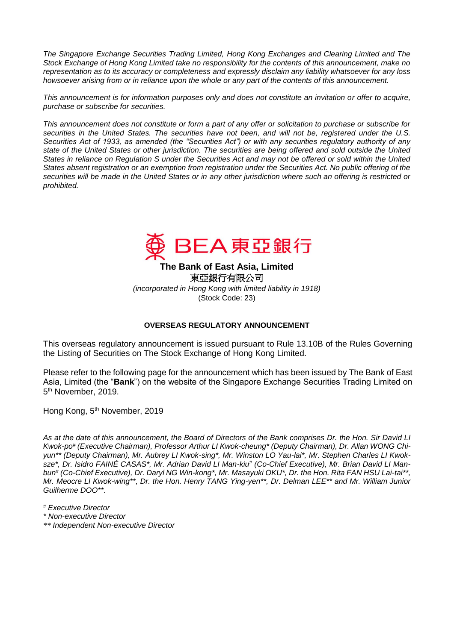*The Singapore Exchange Securities Trading Limited, Hong Kong Exchanges and Clearing Limited and The Stock Exchange of Hong Kong Limited take no responsibility for the contents of this announcement, make no representation as to its accuracy or completeness and expressly disclaim any liability whatsoever for any loss howsoever arising from or in reliance upon the whole or any part of the contents of this announcement.*

*This announcement is for information purposes only and does not constitute an invitation or offer to acquire, purchase or subscribe for securities.*

*This announcement does not constitute or form a part of any offer or solicitation to purchase or subscribe for securities in the United States. The securities have not been, and will not be, registered under the U.S. Securities Act of 1933, as amended (the "Securities Act") or with any securities regulatory authority of any state of the United States or other jurisdiction. The securities are being offered and sold outside the United States in reliance on Regulation S under the Securities Act and may not be offered or sold within the United States absent registration or an exemption from registration under the Securities Act. No public offering of the securities will be made in the United States or in any other jurisdiction where such an offering is restricted or prohibited.*



**The Bank of East Asia, Limited**  東亞銀行有限公司 *(incorporated in Hong Kong with limited liability in 1918)*

(Stock Code: 23)

## **OVERSEAS REGULATORY ANNOUNCEMENT**

This overseas regulatory announcement is issued pursuant to Rule 13.10B of the Rules Governing the Listing of Securities on The Stock Exchange of Hong Kong Limited.

Please refer to the following page for the announcement which has been issued by The Bank of East Asia, Limited (the "**Bank**") on the website of the Singapore Exchange Securities Trading Limited on 5<sup>th</sup> November, 2019.

Hong Kong, 5<sup>th</sup> November, 2019

*As at the date of this announcement, the Board of Directors of the Bank comprises Dr. the Hon. Sir David LI Kwok-po# (Executive Chairman), Professor Arthur LI Kwok-cheung\* (Deputy Chairman), Dr. Allan WONG Chiyun\*\* (Deputy Chairman), Mr. Aubrey LI Kwok-sing\*, Mr. Winston LO Yau-lai\*, Mr. Stephen Charles LI Kwoksze\*, Dr. Isidro FAINÉ CASAS\*, Mr. Adrian David LI Man-kiu# (Co-Chief Executive), Mr. Brian David LI Manbun# (Co-Chief Executive), Dr. Daryl NG Win-kong\*, Mr. Masayuki OKU\*, Dr. the Hon. Rita FAN HSU Lai-tai\*\*, Mr. Meocre LI Kwok-wing\*\*, Dr. the Hon. Henry TANG Ying-yen\*\*, Dr. Delman LEE\*\* and Mr. William Junior Guilherme DOO\*\*.*

- *# Executive Director*
- *\* Non-executive Director*
- *\*\* Independent Non-executive Director*